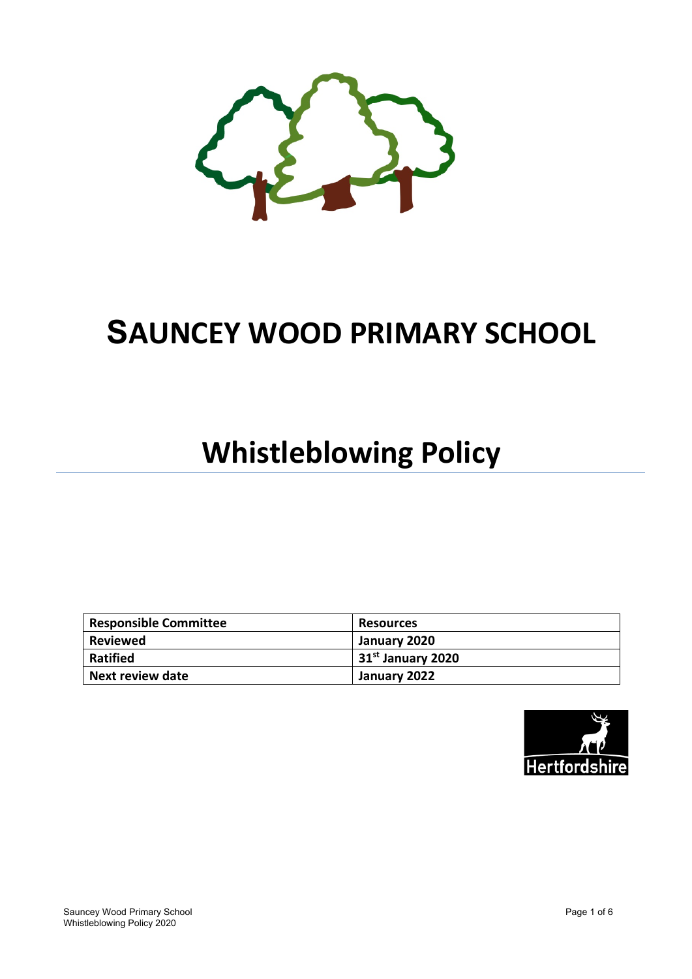

# **SAUNCEY WOOD PRIMARY SCHOOL**

# **Whistleblowing Policy**

| <b>Responsible Committee</b> | <b>Resources</b>    |
|------------------------------|---------------------|
| <b>Reviewed</b>              | January 2020        |
| <b>Ratified</b>              | $31st$ January 2020 |
| <b>Next review date</b>      | January 2022        |

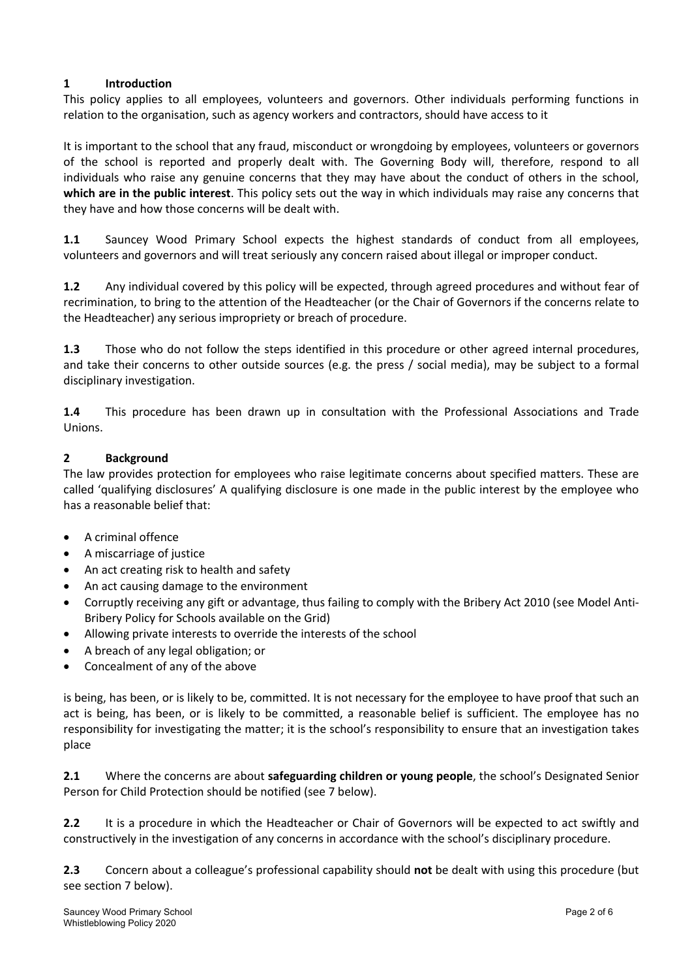### **1 Introduction**

This policy applies to all employees, volunteers and governors. Other individuals performing functions in relation to the organisation, such as agency workers and contractors, should have access to it

It is important to the school that any fraud, misconduct or wrongdoing by employees, volunteers or governors of the school is reported and properly dealt with. The Governing Body will, therefore, respond to all individuals who raise any genuine concerns that they may have about the conduct of others in the school, **which are in the public interest**. This policy sets out the way in which individuals may raise any concerns that they have and how those concerns will be dealt with.

**1.1** Sauncey Wood Primary School expects the highest standards of conduct from all employees, volunteers and governors and will treat seriously any concern raised about illegal or improper conduct.

**1.2** Any individual covered by this policy will be expected, through agreed procedures and without fear of recrimination, to bring to the attention of the Headteacher (or the Chair of Governors if the concerns relate to the Headteacher) any serious impropriety or breach of procedure.

**1.3** Those who do not follow the steps identified in this procedure or other agreed internal procedures, and take their concerns to other outside sources (e.g. the press / social media), may be subject to a formal disciplinary investigation.

**1.4** This procedure has been drawn up in consultation with the Professional Associations and Trade Unions.

#### **2 Background**

The law provides protection for employees who raise legitimate concerns about specified matters. These are called 'qualifying disclosures' A qualifying disclosure is one made in the public interest by the employee who has a reasonable belief that:

- A criminal offence
- A miscarriage of justice
- An act creating risk to health and safety
- An act causing damage to the environment
- Corruptly receiving any gift or advantage, thus failing to comply with the Bribery Act 2010 (see Model Anti-Bribery Policy for Schools available on the Grid)
- Allowing private interests to override the interests of the school
- A breach of any legal obligation; or
- Concealment of any of the above

is being, has been, or is likely to be, committed. It is not necessary for the employee to have proof that such an act is being, has been, or is likely to be committed, a reasonable belief is sufficient. The employee has no responsibility for investigating the matter; it is the school's responsibility to ensure that an investigation takes place

**2.1** Where the concerns are about **safeguarding children or young people**, the school's Designated Senior Person for Child Protection should be notified (see 7 below).

**2.2** It is a procedure in which the Headteacher or Chair of Governors will be expected to act swiftly and constructively in the investigation of any concerns in accordance with the school's disciplinary procedure.

**2.3** Concern about a colleague's professional capability should **not** be dealt with using this procedure (but see section 7 below).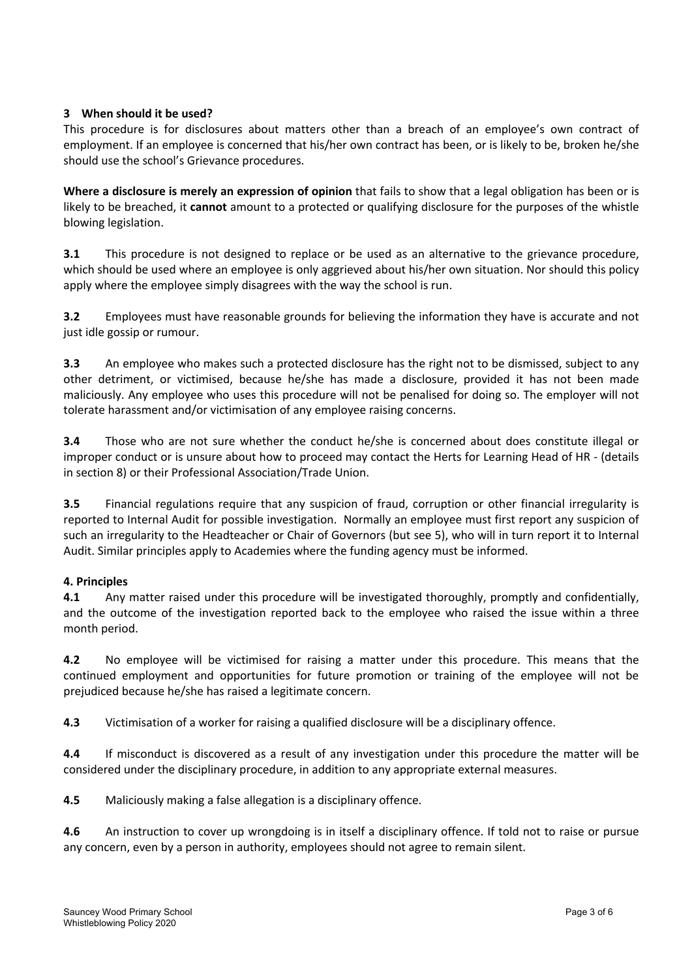#### **3 When should it be used?**

This procedure is for disclosures about matters other than a breach of an employee's own contract of employment. If an employee is concerned that his/her own contract has been, or is likely to be, broken he/she should use the school's Grievance procedures.

**Where a disclosure is merely an expression of opinion** that fails to show that a legal obligation has been or is likely to be breached, it **cannot** amount to a protected or qualifying disclosure for the purposes of the whistle blowing legislation.

**3.1** This procedure is not designed to replace or be used as an alternative to the grievance procedure, which should be used where an employee is only aggrieved about his/her own situation. Nor should this policy apply where the employee simply disagrees with the way the school is run.

**3.2** Employees must have reasonable grounds for believing the information they have is accurate and not just idle gossip or rumour.

**3.3** An employee who makes such a protected disclosure has the right not to be dismissed, subject to any other detriment, or victimised, because he/she has made a disclosure, provided it has not been made maliciously. Any employee who uses this procedure will not be penalised for doing so. The employer will not tolerate harassment and/or victimisation of any employee raising concerns.

**3.4** Those who are not sure whether the conduct he/she is concerned about does constitute illegal or improper conduct or is unsure about how to proceed may contact the Herts for Learning Head of HR - (details in section 8) or their Professional Association/Trade Union.

**3.5** Financial regulations require that any suspicion of fraud, corruption or other financial irregularity is reported to Internal Audit for possible investigation. Normally an employee must first report any suspicion of such an irregularity to the Headteacher or Chair of Governors (but see 5), who will in turn report it to Internal Audit. Similar principles apply to Academies where the funding agency must be informed.

#### **4. Principles**

**4.1** Any matter raised under this procedure will be investigated thoroughly, promptly and confidentially, and the outcome of the investigation reported back to the employee who raised the issue within a three month period.

**4.2** No employee will be victimised for raising a matter under this procedure. This means that the continued employment and opportunities for future promotion or training of the employee will not be prejudiced because he/she has raised a legitimate concern.

**4.3** Victimisation of a worker for raising a qualified disclosure will be a disciplinary offence.

**4.4** If misconduct is discovered as a result of any investigation under this procedure the matter will be considered under the disciplinary procedure, in addition to any appropriate external measures.

**4.5** Maliciously making a false allegation is a disciplinary offence.

**4.6** An instruction to cover up wrongdoing is in itself a disciplinary offence. If told not to raise or pursue any concern, even by a person in authority, employees should not agree to remain silent.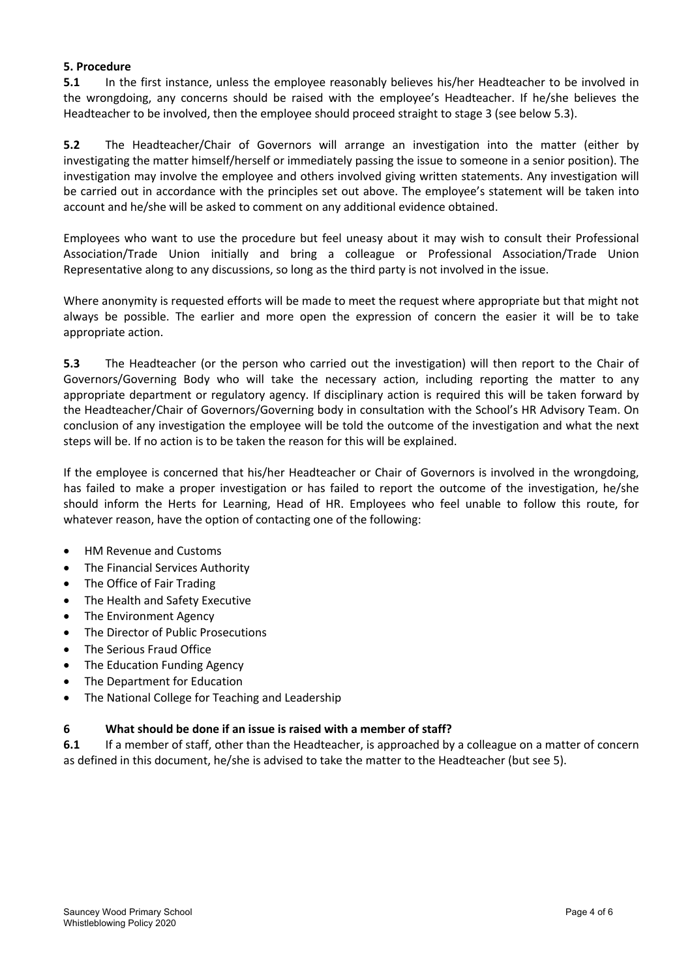#### **5. Procedure**

**5.1** In the first instance, unless the employee reasonably believes his/her Headteacher to be involved in the wrongdoing, any concerns should be raised with the employee's Headteacher. If he/she believes the Headteacher to be involved, then the employee should proceed straight to stage 3 (see below 5.3).

**5.2** The Headteacher/Chair of Governors will arrange an investigation into the matter (either by investigating the matter himself/herself or immediately passing the issue to someone in a senior position). The investigation may involve the employee and others involved giving written statements. Any investigation will be carried out in accordance with the principles set out above. The employee's statement will be taken into account and he/she will be asked to comment on any additional evidence obtained.

Employees who want to use the procedure but feel uneasy about it may wish to consult their Professional Association/Trade Union initially and bring a colleague or Professional Association/Trade Union Representative along to any discussions, so long as the third party is not involved in the issue.

Where anonymity is requested efforts will be made to meet the request where appropriate but that might not always be possible. The earlier and more open the expression of concern the easier it will be to take appropriate action.

**5.3** The Headteacher (or the person who carried out the investigation) will then report to the Chair of Governors/Governing Body who will take the necessary action, including reporting the matter to any appropriate department or regulatory agency. If disciplinary action is required this will be taken forward by the Headteacher/Chair of Governors/Governing body in consultation with the School's HR Advisory Team. On conclusion of any investigation the employee will be told the outcome of the investigation and what the next steps will be. If no action is to be taken the reason for this will be explained.

If the employee is concerned that his/her Headteacher or Chair of Governors is involved in the wrongdoing, has failed to make a proper investigation or has failed to report the outcome of the investigation, he/she should inform the Herts for Learning, Head of HR. Employees who feel unable to follow this route, for whatever reason, have the option of contacting one of the following:

- HM Revenue and Customs
- The Financial Services Authority
- The Office of Fair Trading
- The Health and Safety Executive
- The Environment Agency
- The Director of Public Prosecutions
- The Serious Fraud Office
- The Education Funding Agency
- The Department for Education
- The National College for Teaching and Leadership

#### **6 What should be done if an issue is raised with a member of staff?**

**6.1** If a member of staff, other than the Headteacher, is approached by a colleague on a matter of concern as defined in this document, he/she is advised to take the matter to the Headteacher (but see 5).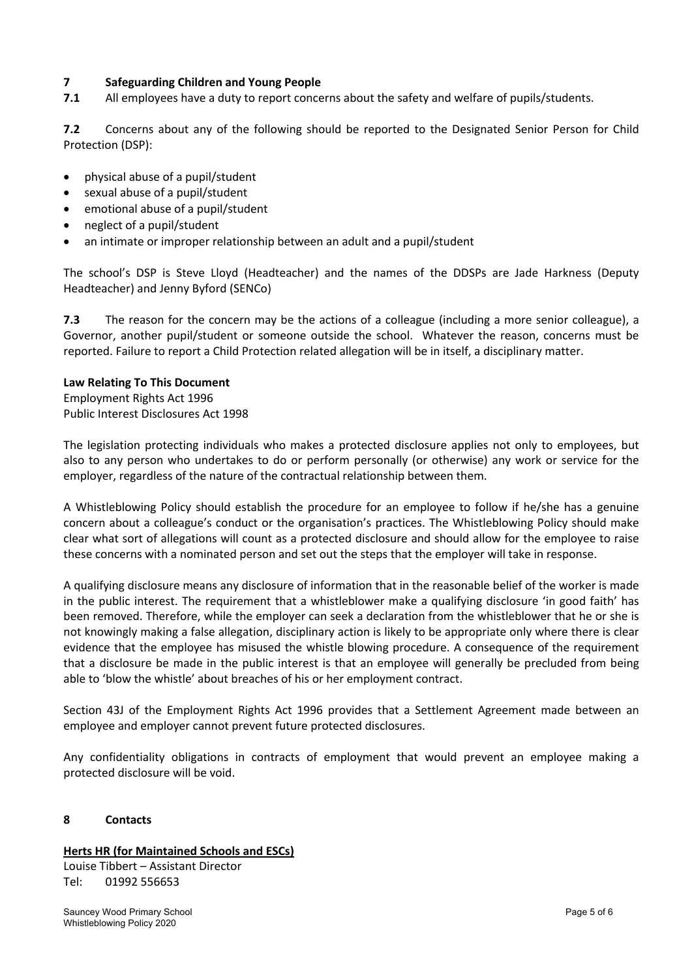#### **7 Safeguarding Children and Young People**

**7.1** All employees have a duty to report concerns about the safety and welfare of pupils/students.

**7.2** Concerns about any of the following should be reported to the Designated Senior Person for Child Protection (DSP):

- physical abuse of a pupil/student
- sexual abuse of a pupil/student
- emotional abuse of a pupil/student
- neglect of a pupil/student
- an intimate or improper relationship between an adult and a pupil/student

The school's DSP is Steve Lloyd (Headteacher) and the names of the DDSPs are Jade Harkness (Deputy Headteacher) and Jenny Byford (SENCo)

**7.3** The reason for the concern may be the actions of a colleague (including a more senior colleague), a Governor, another pupil/student or someone outside the school. Whatever the reason, concerns must be reported. Failure to report a Child Protection related allegation will be in itself, a disciplinary matter.

#### **Law Relating To This Document**

Employment Rights Act 1996 Public Interest Disclosures Act 1998

The legislation protecting individuals who makes a protected disclosure applies not only to employees, but also to any person who undertakes to do or perform personally (or otherwise) any work or service for the employer, regardless of the nature of the contractual relationship between them.

A Whistleblowing Policy should establish the procedure for an employee to follow if he/she has a genuine concern about a colleague's conduct or the organisation's practices. The Whistleblowing Policy should make clear what sort of allegations will count as a protected disclosure and should allow for the employee to raise these concerns with a nominated person and set out the steps that the employer will take in response.

A qualifying disclosure means any disclosure of information that in the reasonable belief of the worker is made in the public interest. The requirement that a whistleblower make a qualifying disclosure 'in good faith' has been removed. Therefore, while the employer can seek a declaration from the whistleblower that he or she is not knowingly making a false allegation, disciplinary action is likely to be appropriate only where there is clear evidence that the employee has misused the whistle blowing procedure. A consequence of the requirement that a disclosure be made in the public interest is that an employee will generally be precluded from being able to 'blow the whistle' about breaches of his or her employment contract.

Section 43J of the Employment Rights Act 1996 provides that a Settlement Agreement made between an employee and employer cannot prevent future protected disclosures.

Any confidentiality obligations in contracts of employment that would prevent an employee making a protected disclosure will be void.

#### **8 Contacts**

### **Herts HR (for Maintained Schools and ESCs)**

Louise Tibbert – Assistant Director Tel: 01992 556653